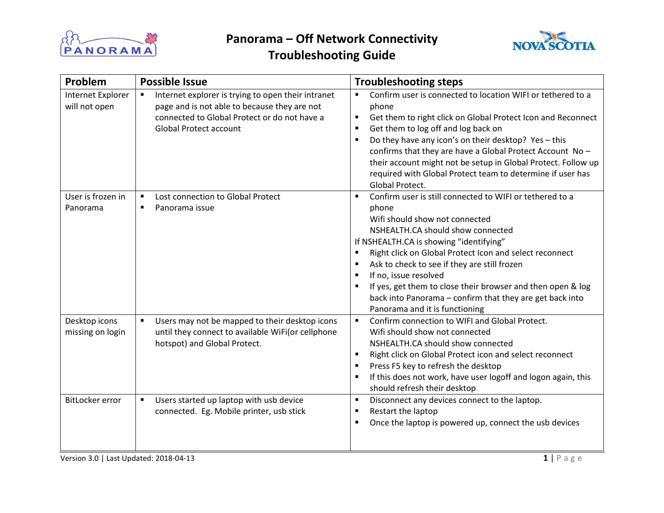

**Problem Possible Issue Problem Problem Problem Problem Problem Problem Problem Problem Problem Problem Problem Problem Problem Problem Problem Problem Problem Problem Problem Prob** 



| Internet Explorer<br>will not open | Internet explorer is trying to open their intranet<br>$\blacksquare$<br>page and is not able to because they are not<br>connected to Global Protect or do not have a<br><b>Global Protect account</b> | Confirm user is connected to location WIFI or tethered to a<br>٠<br>phone<br>Get them to right click on Global Protect Icon and Reconnect<br>Get them to log off and log back on<br>٠<br>Do they have any icon's on their desktop? Yes - this<br>confirms that they are have a Global Protect Account No -<br>their account might not be setup in Global Protect. Follow up<br>required with Global Protect team to determine if user has<br>Global Protect.                         |
|------------------------------------|-------------------------------------------------------------------------------------------------------------------------------------------------------------------------------------------------------|--------------------------------------------------------------------------------------------------------------------------------------------------------------------------------------------------------------------------------------------------------------------------------------------------------------------------------------------------------------------------------------------------------------------------------------------------------------------------------------|
| User is frozen in<br>Panorama      | Lost connection to Global Protect<br>$\blacksquare$<br>Panorama issue<br>$\blacksquare$                                                                                                               | Confirm user is still connected to WIFI or tethered to a<br>phone<br>Wifi should show not connected<br>NSHEALTH.CA should show connected<br>If NSHEALTH.CA is showing "identifying"<br>Right click on Global Protect Icon and select reconnect<br>Ask to check to see if they are still frozen<br>If no, issue resolved<br>If yes, get them to close their browser and then open & log<br>back into Panorama - confirm that they are get back into<br>Panorama and it is functioning |
| Desktop icons<br>missing on login  | Users may not be mapped to their desktop icons<br>$\blacksquare$<br>until they connect to available WiFi(or cellphone<br>hotspot) and Global Protect.                                                 | Confirm connection to WIFI and Global Protect.<br>$\blacksquare$<br>Wifi should show not connected<br>NSHEALTH.CA should show connected<br>Right click on Global Protect icon and select reconnect<br>$\blacksquare$<br>Press F5 key to refresh the desktop<br>If this does not work, have user logoff and logon again, this<br>should refresh their desktop                                                                                                                         |
| BitLocker error                    | Users started up laptop with usb device<br>$\blacksquare$<br>connected. Eg. Mobile printer, usb stick                                                                                                 | Disconnect any devices connect to the laptop.<br>٠<br>Restart the laptop<br>٠<br>Once the laptop is powered up, connect the usb devices<br>٠                                                                                                                                                                                                                                                                                                                                         |

Version 3.0 | Last Updated: 2018-04-13 **1** | P a g e